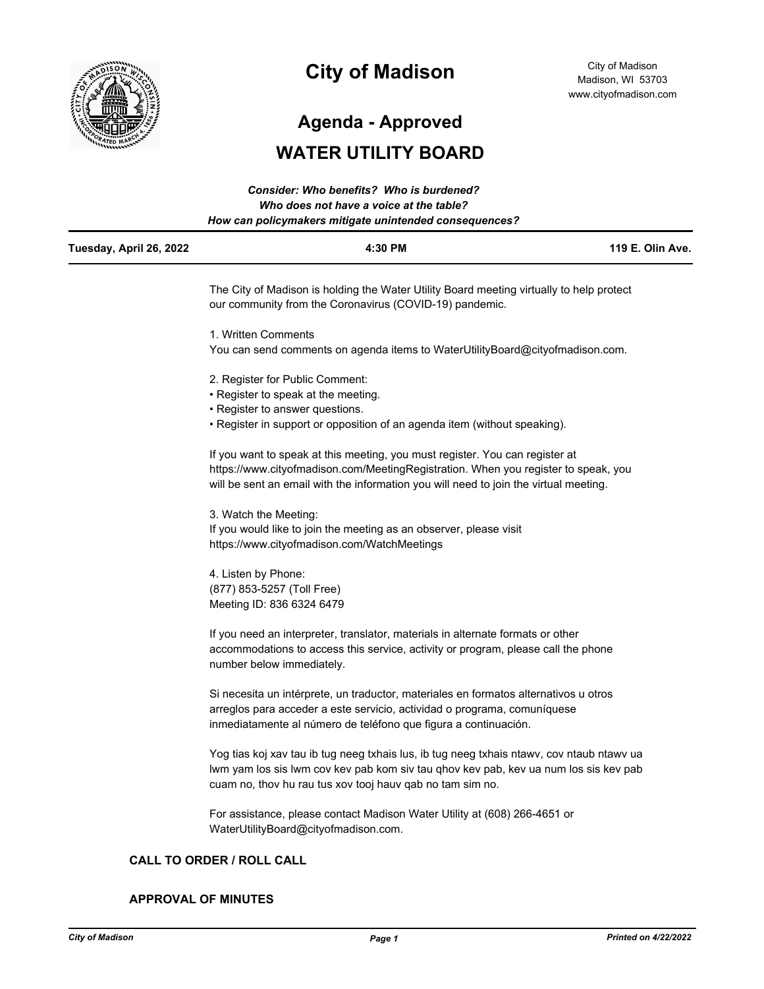

# **City of Madison**

City of Madison Madison, WI 53703 www.cityofmadison.com

**Agenda - Approved**

## **WATER UTILITY BOARD**

|                         | Consider: Who benefits? Who is burdened?<br>Who does not have a voice at the table?<br>How can policymakers mitigate unintended consequences?                                                                                                               |                  |
|-------------------------|-------------------------------------------------------------------------------------------------------------------------------------------------------------------------------------------------------------------------------------------------------------|------------------|
| Tuesday, April 26, 2022 | 4:30 PM                                                                                                                                                                                                                                                     | 119 E. Olin Ave. |
|                         | The City of Madison is holding the Water Utility Board meeting virtually to help protect<br>our community from the Coronavirus (COVID-19) pandemic.                                                                                                         |                  |
|                         | 1. Written Comments                                                                                                                                                                                                                                         |                  |
|                         | You can send comments on agenda items to WaterUtilityBoard@cityofmadison.com.                                                                                                                                                                               |                  |
|                         | 2. Register for Public Comment:                                                                                                                                                                                                                             |                  |
|                         | • Register to speak at the meeting.                                                                                                                                                                                                                         |                  |
|                         | • Register to answer questions.                                                                                                                                                                                                                             |                  |
|                         | • Register in support or opposition of an agenda item (without speaking).                                                                                                                                                                                   |                  |
|                         | If you want to speak at this meeting, you must register. You can register at<br>https://www.cityofmadison.com/MeetingRegistration. When you register to speak, you<br>will be sent an email with the information you will need to join the virtual meeting. |                  |
|                         | 3. Watch the Meeting:                                                                                                                                                                                                                                       |                  |
|                         | If you would like to join the meeting as an observer, please visit<br>https://www.cityofmadison.com/WatchMeetings                                                                                                                                           |                  |
|                         | 4. Listen by Phone:<br>(877) 853-5257 (Toll Free)<br>Meeting ID: 836 6324 6479                                                                                                                                                                              |                  |
|                         | If you need an interpreter, translator, materials in alternate formats or other<br>accommodations to access this service, activity or program, please call the phone<br>number below immediately.                                                           |                  |
|                         | Si necesita un intérprete, un traductor, materiales en formatos alternativos u otros<br>arreglos para acceder a este servicio, actividad o programa, comuníquese<br>inmediatamente al número de teléfono que figura a continuación.                         |                  |
|                         | Yog tias koj xav tau ib tug neeg txhais lus, ib tug neeg txhais ntawv, cov ntaub ntawv ua<br>lwm yam los sis lwm cov kev pab kom siv tau qhov kev pab, kev ua num los sis kev pab<br>cuam no, thov hu rau tus xov tooj hauv qab no tam sim no.              |                  |

For assistance, please contact Madison Water Utility at (608) 266-4651 or WaterUtilityBoard@cityofmadison.com.

## **CALL TO ORDER / ROLL CALL**

#### **APPROVAL OF MINUTES**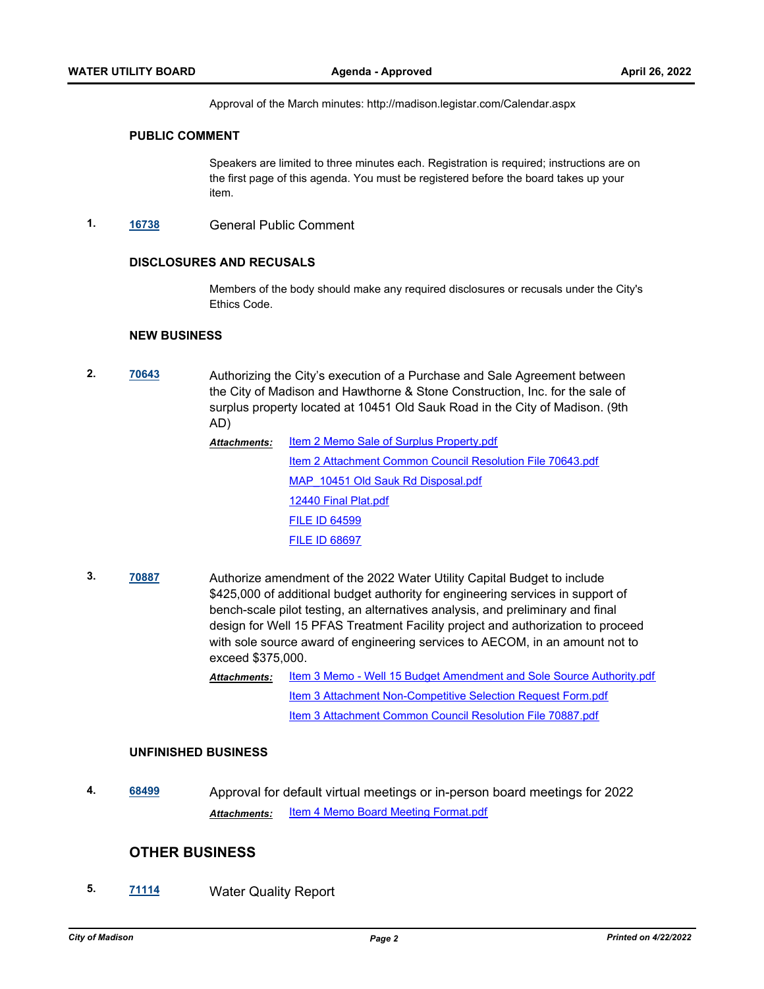Approval of the March minutes: http://madison.legistar.com/Calendar.aspx

#### **PUBLIC COMMENT**

Speakers are limited to three minutes each. Registration is required; instructions are on the first page of this agenda. You must be registered before the board takes up your item.

**1. [16738](http://madison.legistar.com/gateway.aspx?m=l&id=/matter.aspx?key=18604)** General Public Comment

#### **DISCLOSURES AND RECUSALS**

Members of the body should make any required disclosures or recusals under the City's Ethics Code.

#### **NEW BUSINESS**

**2. [70643](http://madison.legistar.com/gateway.aspx?m=l&id=/matter.aspx?key=82674)** Authorizing the City's execution of a Purchase and Sale Agreement between the City of Madison and Hawthorne & Stone Construction, Inc. for the sale of surplus property located at 10451 Old Sauk Road in the City of Madison. (9th AD)

| Attachments: | Item 2 Memo Sale of Surplus Property.pdf                   |
|--------------|------------------------------------------------------------|
|              | Item 2 Attachment Common Council Resolution File 70643.pdf |
|              | MAP 10451 Old Sauk Rd Disposal.pdf                         |
|              | 12440 Final Plat.pdf                                       |
|              | <b>FILE ID 64599</b>                                       |
|              | <b>FILE ID 68697</b>                                       |
|              |                                                            |

- **3. [70887](http://madison.legistar.com/gateway.aspx?m=l&id=/matter.aspx?key=82885)** Authorize amendment of the 2022 Water Utility Capital Budget to include \$425,000 of additional budget authority for engineering services in support of bench-scale pilot testing, an alternatives analysis, and preliminary and final design for Well 15 PFAS Treatment Facility project and authorization to proceed with sole source award of engineering services to AECOM, in an amount not to exceed \$375,000.
	- [Item 3 Memo Well 15 Budget Amendment and Sole Source Authority.pdf](http://madison.legistar.com/gateway.aspx?M=F&ID=9f316781-2ee9-4546-9565-6872c7180ffb.pdf) [Item 3 Attachment Non-Competitive Selection Request Form.pdf](http://madison.legistar.com/gateway.aspx?M=F&ID=00770b94-8018-45d6-b176-c4a128a2b541.pdf) [Item 3 Attachment Common Council Resolution File 70887.pdf](http://madison.legistar.com/gateway.aspx?M=F&ID=7754ba61-cf4b-4eb0-bc1d-6a325e4a1aa3.pdf) *Attachments:*

#### **UNFINISHED BUSINESS**

**4. [68499](http://madison.legistar.com/gateway.aspx?m=l&id=/matter.aspx?key=80176)** Approval for default virtual meetings or in-person board meetings for 2022 *Attachments:* [Item 4 Memo Board Meeting Format.pdf](http://madison.legistar.com/gateway.aspx?M=F&ID=e4310d12-798c-4f87-93fd-0ce4cf15fc19.pdf)

## **OTHER BUSINESS**

**5. [71114](http://madison.legistar.com/gateway.aspx?m=l&id=/matter.aspx?key=83065)** Water Quality Report